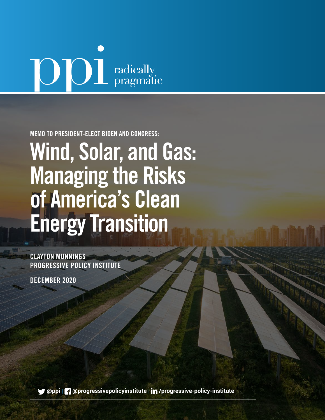# **OD** radically

MEMO TO PRESIDENT-ELECT BIDEN AND CONGRESS:

Wind, Solar, and Gas: Managing the Risks of America's Clean Energy Transition

CLAYTON MUNNINGS PROGRESSIVE POLICY INSTITUTE

DECEMBER 2020

 **[@ppi](http://twitter.com/ppi)** | **[@progressivepolicyinstitute](http://www.facebook.com/progressivepolicyinstitute)** | **[/progressive-policy-institute](http://www.linkedin.com/company/progressive-policy-institute/)**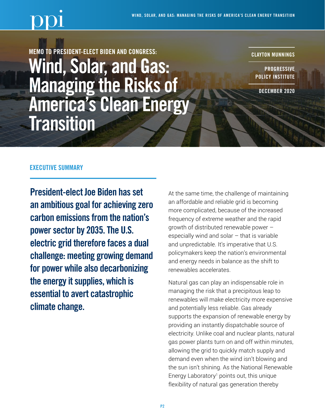

MEMO TO PRESIDENT-ELECT BIDEN AND CONGRESS: Wind, Solar, and Gas: Managing the Risks of America's Clean Energy **Transition** 

CLAYTON MUNNINGS

**PROGRESSIVE** POLICY INSTITUTE

DECEMBER 2020

### EXECUTIVE SUMMARY

President-elect Joe Biden has set an ambitious goal for achieving zero carbon emissions from the nation's power sector by 2035. The U.S. electric grid therefore faces a dual challenge: meeting growing demand for power while also decarbonizing the energy it supplies, which is essential to avert catastrophic climate change.

At the same time, the challenge of maintaining an affordable and reliable grid is becoming more complicated, because of the increased frequency of extreme weather and the rapid growth of distributed renewable power – especially wind and solar  $-$  that is variable and unpredictable. It's imperative that U.S. policymakers keep the nation's environmental and energy needs in balance as the shift to renewables accelerates.

Natural gas can play an indispensable role in managing the risk that a precipitous leap to renewables will make electricity more expensive and potentially less reliable. Gas already supports the expansion of renewable energy by providing an instantly dispatchable source of electricity. Unlike coal and nuclear plants, natural gas power plants turn on and off within minutes, allowing the grid to quickly match supply and demand even when the wind isn't blowing and the sun isn't shining. As the National Renewable Energy Laboratory<sup>1</sup> points out, this unique flexibility of natural gas generation thereby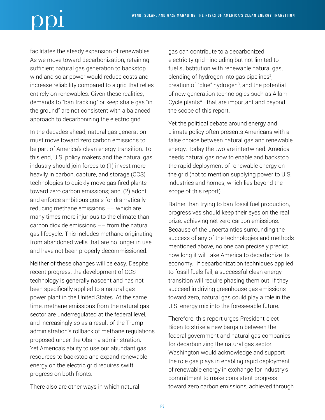facilitates the steady expansion of renewables. As we move toward decarbonization, retaining sufficient natural gas generation to backstop wind and solar power would reduce costs and increase reliability compared to a grid that relies entirely on renewables. Given these realities, demands to "ban fracking" or keep shale gas "in the ground" are not consistent with a balanced approach to decarbonizing the electric grid.

In the decades ahead, natural gas generation must move toward zero carbon emissions to be part of America's clean energy transition. To this end, U.S. policy makers and the natural gas industry should join forces to (1) invest more heavily in carbon, capture, and storage (CCS) technologies to quickly move gas-fired plants toward zero carbon emissions; and, (2) adopt and enforce ambitious goals for dramatically reducing methane emissions –– which are many times more injurious to the climate than carbon dioxide emissions –– from the natural gas lifecycle. This includes methane originating from abandoned wells that are no longer in use and have not been properly decommissioned.

Neither of these changes will be easy. Despite recent progress, the development of CCS technology is generally nascent and has not been specifically applied to a natural gas power plant in the United States. At the same time, methane emissions from the natural gas sector are underregulated at the federal level, and increasingly so as a result of the Trump administration's rollback of methane regulations proposed under the Obama administration. Yet America's ability to use our abundant gas resources to backstop and expand renewable energy on the electric grid requires swift progress on both fronts.

There also are other ways in which natural

gas can contribute to a decarbonized electricity grid—including but not limited to fuel substitution with renewable natural gas, blending of hydrogen into gas pipelines<sup>2</sup>, creation of "blue" hydrogen<sup>3</sup>, and the potential of new generation technologies such as Allam Cycle plants4 —that are important and beyond the scope of this report.

Yet the political debate around energy and climate policy often presents Americans with a false choice between natural gas and renewable energy. Today the two are intertwined. America needs natural gas now to enable and backstop the rapid deployment of renewable energy on the grid (not to mention supplying power to U.S. industries and homes, which lies beyond the scope of this report).

Rather than trying to ban fossil fuel production, progressives should keep their eyes on the real prize: achieving net zero carbon emissions. Because of the uncertainties surrounding the success of any of the technologies and methods mentioned above, no one can precisely predict how long it will take America to decarbonize its economy. If decarbonization techniques applied to fossil fuels fail, a successful clean energy transition will require phasing them out. If they succeed in driving greenhouse gas emissions toward zero, natural gas could play a role in the U.S. energy mix into the foreseeable future.

Therefore, this report urges President-elect Biden to strike a new bargain between the federal government and natural gas companies for decarbonizing the natural gas sector. Washington would acknowledge and support the role gas plays in enabling rapid deployment of renewable energy in exchange for industry's commitment to make consistent progress toward zero carbon emissions, achieved through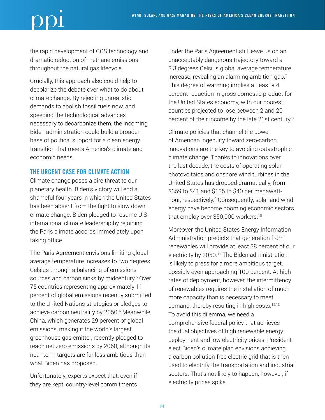the rapid development of CCS technology and dramatic reduction of methane emissions throughout the natural gas lifecycle.

Crucially, this approach also could help to depolarize the debate over what to do about climate change. By rejecting unrealistic demands to abolish fossil fuels now, and speeding the technological advances necessary to decarbonize them, the incoming Biden administration could build a broader base of political support for a clean energy transition that meets America's climate and economic needs.

# THE URGENT CASE FOR CLIMATE ACTION

Climate change poses a dire threat to our planetary health. Biden's victory will end a shameful four years in which the United States has been absent from the fight to slow down climate change. Biden pledged to resume U.S. international climate leadership by rejoining the Paris climate accords immediately upon taking office.

The Paris Agreement envisions limiting global average temperature increases to two degrees Celsius through a balancing of emissions sources and carbon sinks by midcentury.5 Over 75 countries representing approximately 11 percent of global emissions recently submitted to the United Nations strategies or pledges to achieve carbon neutrality by 2050.6 Meanwhile, China, which generates 29 percent of global emissions, making it the world's largest greenhouse gas emitter, recently pledged to reach net zero emissions by 2060, although its near-term targets are far less ambitious than what Biden has proposed.

Unfortunately, experts expect that, even if they are kept, country-level commitments

under the Paris Agreement still leave us on an unacceptably dangerous trajectory toward a 3.3 degrees Celsius global average temperature increase, revealing an alarming ambition gap.<sup>7</sup> This degree of warming implies at least a 4 percent reduction in gross domestic product for the United States economy, with our poorest counties projected to lose between 2 and 20 percent of their income by the late 21st century.<sup>8</sup>

Climate policies that channel the power of American ingenuity toward zero-carbon innovations are the key to avoiding catastrophic climate change. Thanks to innovations over the last decade, the costs of operating solar photovoltaics and onshore wind turbines in the United States has dropped dramatically, from \$359 to \$41 and \$135 to \$40 per megawatthour, respectively.9 Consequently, solar and wind energy have become booming economic sectors that employ over 350,000 workers.<sup>10</sup>

Moreover, the United States Energy Information Administration predicts that generation from renewables will provide at least 38 percent of our electricity by 2050.<sup>11</sup> The Biden administration is likely to press for a more ambitious target, possibly even approaching 100 percent. At high rates of deployment, however, the intermittency of renewables requires the installation of much more capacity than is necessary to meet demand, thereby resulting in high costs.<sup>12,13</sup> To avoid this dilemma, we need a comprehensive federal policy that achieves the dual objectives of high renewable energy deployment and low electricity prices. Presidentelect Biden's climate plan envisions achieving a carbon pollution-free electric grid that is then used to electrify the transportation and industrial sectors. That's not likely to happen, however, if electricity prices spike.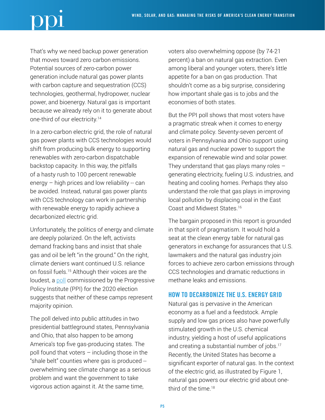That's why we need backup power generation that moves toward zero carbon emissions. Potential sources of zero-carbon power generation include natural gas power plants with carbon capture and sequestration (CCS) technologies, geothermal, hydropower, nuclear power, and bioenergy. Natural gas is important because we already rely on it to generate about one-third of our electricity.14

In a zero-carbon electric grid, the role of natural gas power plants with CCS technologies would shift from producing bulk energy to supporting renewables with zero-carbon dispatchable backstop capacity. In this way, the pitfalls of a hasty rush to 100 percent renewable energy  $-$  high prices and low reliability  $-$  can be avoided. Instead, natural gas power plants with CCS technology can work in partnership with renewable energy to rapidly achieve a decarbonized electric grid.

Unfortunately, the politics of energy and climate are deeply polarized. On the left, activists demand fracking bans and insist that shale gas and oil be left "in the ground." On the right, climate deniers want continued U.S. reliance on fossil fuels.15 Although their voices are the loudest, a [poll](https://www.progressivepolicy.org/pressrelease/battleground-voters-pragmatic-on-climate-energy/) commissioned by the Progressive Policy Institute (PPI) for the 2020 election suggests that neither of these camps represent majority opinion.

The poll delved into public attitudes in two presidential battleground states, Pennsylvania and Ohio, that also happen to be among America's top five gas-producing states. The poll found that voters – including those in the "shale belt" counties where gas is produced - overwhelming see climate change as a serious problem and want the government to take vigorous action against it. At the same time,

voters also overwhelming oppose (by 74-21 percent) a ban on natural gas extraction. Even among liberal and younger voters, there's little appetite for a ban on gas production. That shouldn't come as a big surprise, considering how important shale gas is to jobs and the economies of both states.

But the PPI poll shows that most voters have a pragmatic streak when it comes to energy and climate policy. Seventy-seven percent of voters in Pennsylvania and Ohio support using natural gas and nuclear power to support the expansion of renewable wind and solar power. They understand that gas plays many roles  $$ generating electricity, fueling U.S. industries, and heating and cooling homes. Perhaps they also understand the role that gas plays in improving local pollution by displacing coal in the East Coast and Midwest States.16

The bargain proposed in this report is grounded in that spirit of pragmatism. It would hold a seat at the clean energy table for natural gas generators in exchange for assurances that U.S. lawmakers and the natural gas industry join forces to achieve zero carbon emissions through CCS technologies and dramatic reductions in methane leaks and emissions.

# HOW TO DECARBONIZE THE U.S. ENERGY GRID

Natural gas is pervasive in the American economy as a fuel and a feedstock. Ample supply and low gas prices also have powerfully stimulated growth in the U.S. chemical industry, yielding a host of useful applications and creating a substantial number of jobs.<sup>17</sup> Recently, the United States has become a significant exporter of natural gas. In the context of the electric grid, as illustrated by Figure 1, natural gas powers our electric grid about onethird of the time  $18$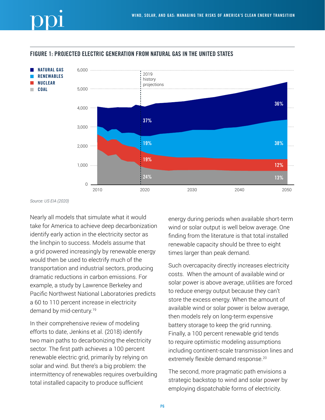## FIGURE 1: PROJECTED ELECTRIC GENERATION FROM NATURAL GAS IN THE UNITED STATES



*Source: US EIA (2020)*

Nearly all models that simulate what it would take for America to achieve deep decarbonization identify early action in the electricity sector as the linchpin to success. Models assume that a grid powered increasingly by renewable energy would then be used to electrify much of the transportation and industrial sectors, producing dramatic reductions in carbon emissions. For example, a study by Lawrence Berkeley and Pacific Northwest National Laboratories predicts a 60 to 110 percent increase in electricity demand by mid-century.<sup>19</sup>

In their comprehensive review of modeling efforts to date, Jenkins et al. (2018) identify two main paths to decarbonizing the electricity sector. The first path achieves a 100 percent renewable electric grid, primarily by relying on solar and wind. But there's a big problem: the intermittency of renewables requires overbuilding total installed capacity to produce sufficient

energy during periods when available short-term wind or solar output is well below average. One finding from the literature is that total installed renewable capacity should be three to eight times larger than peak demand.

Such overcapacity directly increases electricity costs. When the amount of available wind or solar power is above average, utilities are forced to reduce energy output because they can't store the excess energy. When the amount of available wind or solar power is below average, then models rely on long-term expensive battery storage to keep the grid running. Finally, a 100 percent renewable grid tends to require optimistic modeling assumptions including continent-scale transmission lines and extremely flexible demand response.<sup>20</sup>

The second, more pragmatic path envisions a strategic backstop to wind and solar power by employing dispatchable forms of electricity.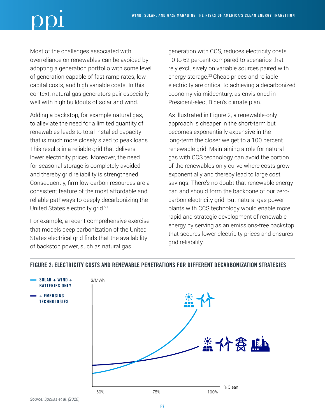Most of the challenges associated with overreliance on renewables can be avoided by adopting a generation portfolio with some level of generation capable of fast ramp rates, low capital costs, and high variable costs. In this context, natural gas generators pair especially well with high buildouts of solar and wind.

Adding a backstop, for example natural gas, to alleviate the need for a limited quantity of renewables leads to total installed capacity that is much more closely sized to peak loads. This results in a reliable grid that delivers lower electricity prices. Moreover, the need for seasonal storage is completely avoided and thereby grid reliability is strengthened. Consequently, firm low-carbon resources are a consistent feature of the most affordable and reliable pathways to deeply decarbonizing the United States electricity grid.21

For example, a recent comprehensive exercise that models deep carbonization of the United States electrical grid finds that the availability of backstop power, such as natural gas

generation with CCS, reduces electricity costs 10 to 62 percent compared to scenarios that rely exclusively on variable sources paired with energy storage.22 Cheap prices and reliable electricity are critical to achieving a decarbonized economy via midcentury, as envisioned in President-elect Biden's climate plan.

As illustrated in Figure 2, a renewable-only approach is cheaper in the short-term but becomes exponentially expensive in the long-term the closer we get to a 100 percent renewable grid. Maintaining a role for natural gas with CCS technology can avoid the portion of the renewables only curve where costs grow exponentially and thereby lead to large cost savings. There's no doubt that renewable energy can and should form the backbone of our zerocarbon electricity grid. But natural gas power plants with CCS technology would enable more rapid and strategic development of renewable energy by serving as an emissions-free backstop that secures lower electricity prices and ensures grid reliability.



# FIGURE 2: ELECTRICITY COSTS AND RENEWABLE PENETRATIONS FOR DIFFERENT DECARBONIZATION STRATEGIES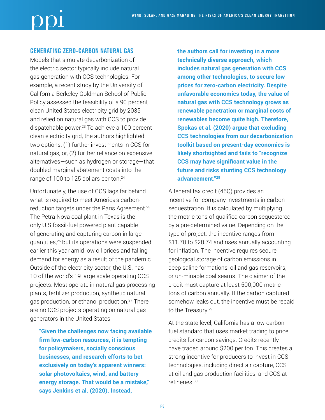# GENERATING ZERO-CARBON NATURAL GAS

Models that simulate decarbonization of the electric sector typically include natural gas generation with CCS technologies. For example, a recent study by the University of California Berkeley Goldman School of Public Policy assessed the feasibility of a 90 percent clean United States electricity grid by 2035 and relied on natural gas with CCS to provide dispatchable power.23 To achieve a 100 percent clean electricity grid, the authors highlighted two options: (1) further investments in CCS for natural gas, or, (2) further reliance on expensive alternatives—such as hydrogen or storage—that doubled marginal abatement costs into the range of 100 to 125 dollars per ton.<sup>24</sup>

Unfortunately, the use of CCS lags far behind what is required to meet America's carbonreduction targets under the Paris Agreement.<sup>25</sup> The Petra Nova coal plant in Texas is the only U.S fossil-fuel powered plant capable of generating and capturing carbon in large quantities,26 but its operations were suspended earlier this year amid low oil prices and falling demand for energy as a result of the pandemic. Outside of the electricity sector, the U.S. has 10 of the world's 19 large scale operating CCS projects. Most operate in natural gas processing plants, fertilizer production, synthetic natural gas production, or ethanol production.27 There are no CCS projects operating on natural gas generators in the United States.

**"Given the challenges now facing available firm low-carbon resources, it is tempting for policymakers, socially conscious businesses, and research efforts to bet exclusively on today's apparent winners: solar photovoltaics, wind, and battery energy storage. That would be a mistake," says Jenkins et al. (2020). Instead,** 

**the authors call for investing in a more technically diverse approach, which includes natural gas generation with CCS among other technologies, to secure low prices for zero-carbon electricity. Despite unfavorable economics today, the value of natural gas with CCS technology grows as renewable penetration or marginal costs of renewables become quite high. Therefore, Spokas et al. (2020) argue that excluding CCS technologies from our decarbonization toolkit based on present-day economics is likely shortsighted and fails to "recognize CCS may have significant value in the future and risks stunting CCS technology advancement."28**

A federal tax credit (45Q) provides an incentive for company investments in carbon sequestration. It is calculated by multiplying the metric tons of qualified carbon sequestered by a pre-determined value. Depending on the type of project, the incentive ranges from \$11.70 to \$28.74 and rises annually accounting for inflation. The incentive requires secure geological storage of carbon emissions in deep saline formations, oil and gas reservoirs, or un-minable coal seams. The claimer of the credit must capture at least 500,000 metric tons of carbon annually. If the carbon captured somehow leaks out, the incentive must be repaid to the Treasury.<sup>29</sup>

At the state level, California has a low-carbon fuel standard that uses market trading to price credits for carbon savings. Credits recently have traded around \$200 per ton. This creates a strong incentive for producers to invest in CCS technologies, including direct air capture, CCS at oil and gas production facilities, and CCS at refineries.30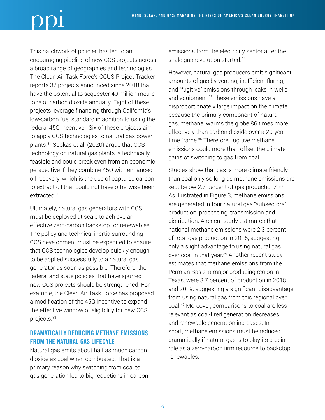This patchwork of policies has led to an encouraging pipeline of new CCS projects across a broad range of geographies and technologies. The Clean Air Task Force's CCUS Project Tracker reports 32 projects announced since 2018 that have the potential to sequester 40 million metric tons of carbon dioxide annually. Eight of these projects leverage financing through California's low-carbon fuel standard in addition to using the federal 45Q incentive. Six of these projects aim to apply CCS technologies to natural gas power plants.31 Spokas et al. (2020) argue that CCS technology on natural gas plants is technically feasible and could break even from an economic perspective if they combine 45Q with enhanced oil recovery, which is the use of captured carbon to extract oil that could not have otherwise been extracted.32

Ultimately, natural gas generators with CCS must be deployed at scale to achieve an effective zero-carbon backstop for renewables. The policy and technical inertia surrounding CCS development must be expedited to ensure that CCS technologies develop quickly enough to be applied successfully to a natural gas generator as soon as possible. Therefore, the federal and state policies that have spurred new CCS projects should be strengthened. For example, the Clean Air Task Force has proposed a modification of the 45Q incentive to expand the effective window of eligibility for new CCS projects.33

# DRAMATICALLY REDUCING METHANE EMISSIONS FROM THE NATURAL GAS LIFECYLE

Natural gas emits about half as much carbon dioxide as coal when combusted. That is a primary reason why switching from coal to gas generation led to big reductions in carbon emissions from the electricity sector after the shale gas revolution started.34

However, natural gas producers emit significant amounts of gas by venting, inefficient flaring, and "fugitive" emissions through leaks in wells and equipment.<sup>35</sup> These emissions have a disproportionately large impact on the climate because the primary component of natural gas, methane, warms the globe 86 times more effectively than carbon dioxide over a 20-year time frame.<sup>36</sup> Therefore, fugitive methane emissions could more than offset the climate gains of switching to gas from coal.

Studies show that gas is more climate friendly than coal only so long as methane emissions are kept below 2.7 percent of gas production. $37,38$ As illustrated in Figure 3, methane emissions are generated in four natural gas "subsectors": production, processing, transmission and distribution. A recent study estimates that national methane emissions were 2.3 percent of total gas production in 2015, suggesting only a slight advantage to using natural gas over coal in that year.<sup>39</sup> Another recent study estimates that methane emissions from the Permian Basis, a major producing region in Texas, were 3.7 percent of production in 2018 and 2019, suggesting a significant disadvantage from using natural gas from this regional over coal.40 Moreover, comparisons to coal are less relevant as coal-fired generation decreases and renewable generation increases. In short, methane emissions must be reduced dramatically if natural gas is to play its crucial role as a zero-carbon firm resource to backstop renewables.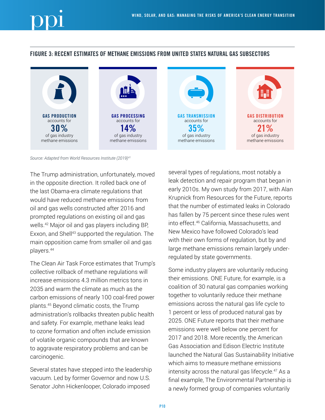# FIGURE 3: RECENT ESTIMATES OF METHANE EMISSIONS FROM UNITED STATES NATURAL GAS SUBSECTORS





*Source: Adapted from World Resources Institute (2019)41*

The Trump administration, unfortunately, moved in the opposite direction. It rolled back one of the last Obama-era climate regulations that would have reduced methane emissions from oil and gas wells constructed after 2016 and prompted regulations on existing oil and gas wells.42 Major oil and gas players including BP, Exxon, and Shell<sup>43</sup> supported the regulation. The main opposition came from smaller oil and gas players.44

The Clean Air Task Force estimates that Trump's collective rollback of methane regulations will increase emissions 4.3 million metrics tons in 2035 and warm the climate as much as the carbon emissions of nearly 100 coal-fired power plants.45 Beyond climatic costs, the Trump administration's rollbacks threaten public health and safety. For example, methane leaks lead to ozone formation and often include emission of volatile organic compounds that are known to aggravate respiratory problems and can be carcinogenic.

Several states have stepped into the leadership vacuum. Led by former Governor and now U.S. Senator John Hickenlooper, Colorado imposed

several types of regulations, most notably a leak detection and repair program that began in early 2010s. My own study from 2017, with Alan Krupnick from Resources for the Future, reports that the number of estimated leaks in Colorado has fallen by 75 percent since these rules went into effect.46 California, Massachusetts, and New Mexico have followed Colorado's lead with their own forms of regulation, but by and large methane emissions remain largely underregulated by state governments.

Some industry players are voluntarily reducing their emissions. ONE Future, for example, is a coalition of 30 natural gas companies working together to voluntarily reduce their methane emissions across the natural gas life cycle to 1 percent or less of produced natural gas by 2025. ONE Future reports that their methane emissions were well below one percent for 2017 and 2018. More recently, the American Gas Association and Edison Electric Institute launched the Natural Gas Sustainability Initiative which aims to measure methane emissions intensity across the natural gas lifecycle.47 As a final example, The Environmental Partnership is a newly formed group of companies voluntarily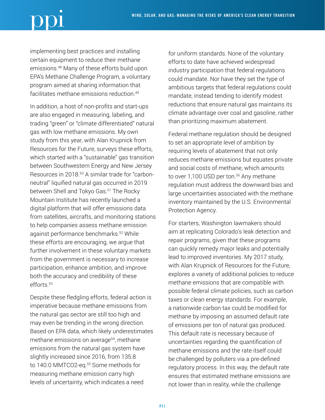implementing best practices and installing certain equipment to reduce their methane emissions.48 Many of these efforts build upon EPA's Methane Challenge Program, a voluntary program aimed at sharing information that facilitates methane emissions reduction.<sup>49</sup>

In addition, a host of non-profits and start-ups are also engaged in measuring, labeling, and trading "green" or "climate differentiated" natural gas with low methane emissions. My own study from this year, with Alan Krupnick from Resources for the Future, surveys these efforts, which started with a "sustainable" gas transition between Southwestern Energy and New Jersey Resources in 2018.<sup>50</sup> A similar trade for "carbonneutral" liquified natural gas occurred in 2019 between Shell and Tokyo Gas.<sup>51</sup> The Rocky Mountain Institute has recently launched a digital platform that will offer emissions data from satellites, aircrafts, and monitoring stations to help companies assess methane emission against performance benchmarks.52 While these efforts are encouraging, we argue that further involvement in these voluntary markets from the government is necessary to increase participation, enhance ambition, and improve both the accuracy and credibility of these efforts.53

Despite these fledgling efforts, federal action is imperative because methane emissions from the natural gas sector are still too high and may even be trending in the wrong direction. Based on EPA data, which likely underestimates methane emissions on average<sup>54</sup>, methane emissions from the natural gas system have slightly increased since 2016, from 135.8 to 140.0 MMTCO2-eq.<sup>55</sup> Some methods for measuring methane emission carry high levels of uncertainty, which indicates a need

for uniform standards. None of the voluntary efforts to date have achieved widespread industry participation that federal regulations could mandate. Nor have they set the type of ambitious targets that federal regulations could mandate, instead tending to identify modest reductions that ensure natural gas maintains its climate advantage over coal and gasoline, rather than prioritizing maximum abatement.

Federal methane regulation should be designed to set an appropriate level of ambition by requiring levels of abatement that not only reduces methane emissions but equates private and social costs of methane, which amounts to over 1,100 USD per ton.<sup>56</sup> Any methane regulation must address the downward bias and large uncertainties associated with the methane inventory maintained by the U.S. Environmental Protection Agency.

For starters, Washington lawmakers should aim at replicating Colorado's leak detection and repair programs, given that these programs can quickly remedy major leaks and potentially lead to improved inventories. My 2017 study, with Alan Krupnick of Resources for the Future, explores a variety of additional policies to reduce methane emissions that are compatible with possible federal climate policies, such as carbon taxes or clean energy standards. For example, a nationwide carbon tax could be modified for methane by imposing an assumed default rate of emissions per ton of natural gas produced. This default rate is necessary because of uncertainties regarding the quantification of methane emissions and the rate itself could be challenged by polluters via a pre-defined regulatory process. In this way, the default rate ensures that estimated methane emissions are not lower than in reality, while the challenge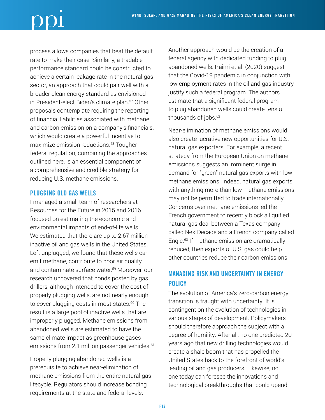process allows companies that beat the default rate to make their case. Similarly, a tradable performance standard could be constructed to achieve a certain leakage rate in the natural gas sector, an approach that could pair well with a broader clean energy standard as envisioned in President-elect Biden's climate plan.<sup>57</sup> Other proposals contemplate requiring the reporting of financial liabilities associated with methane and carbon emission on a company's financials, which would create a powerful incentive to maximize emission reductions.58 Tougher federal regulation, combining the approaches outlined here, is an essential component of a comprehensive and credible strategy for reducing U.S. methane emissions.

# PLUGGING OLD GAS WELLS

I managed a small team of researchers at Resources for the Future in 2015 and 2016 focused on estimating the economic and environmental impacts of end-of-life wells. We estimated that there are up to 2.67 million inactive oil and gas wells in the United States. Left unplugged, we found that these wells can emit methane, contribute to poor air quality, and contaminate surface water.59 Moreover, our research uncovered that bonds posted by gas drillers, although intended to cover the cost of properly plugging wells, are not nearly enough to cover plugging costs in most states.<sup>60</sup> The result is a large pool of inactive wells that are improperly plugged. Methane emissions from abandoned wells are estimated to have the same climate impact as greenhouse gases emissions from 2.1 million passenger vehicles.<sup>61</sup>

Properly plugging abandoned wells is a prerequisite to achieve near-elimination of methane emissions from the entire natural gas lifecycle. Regulators should increase bonding requirements at the state and federal levels.

Another approach would be the creation of a federal agency with dedicated funding to plug abandoned wells. Raimi et al. (2020) suggest that the Covid-19 pandemic in conjunction with low employment rates in the oil and gas industry justify such a federal program. The authors estimate that a significant federal program to plug abandoned wells could create tens of thousands of jobs.<sup>62</sup>

Near-elimination of methane emissions would also create lucrative new opportunities for U.S. natural gas exporters. For example, a recent strategy from the European Union on methane emissions suggests an imminent surge in demand for "green" natural gas exports with low methane emissions. Indeed, natural gas exports with anything more than low methane emissions may not be permitted to trade internationally. Concerns over methane emissions led the French government to recently block a liquified natural gas deal between a Texas company called NextDecade and a French company called Engie.<sup>63</sup> If methane emission are dramatically reduced, then exports of U.S. gas could help other countries reduce their carbon emissions.

# MANAGING RISK AND UNCERTAINTY IN ENERGY **POLICY**

The evolution of America's zero-carbon energy transition is fraught with uncertainty. It is contingent on the evolution of technologies in various stages of development. Policymakers should therefore approach the subject with a degree of humility. After all, no one predicted 20 years ago that new drilling technologies would create a shale boom that has propelled the United States back to the forefront of world's leading oil and gas producers. Likewise, no one today can foresee the innovations and technological breakthroughs that could upend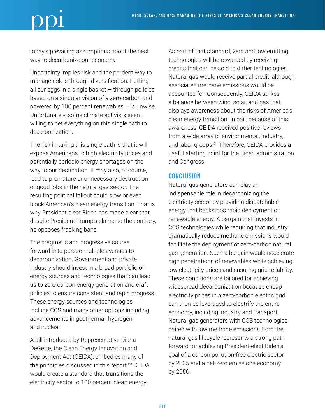today's prevailing assumptions about the best way to decarbonize our economy.

Uncertainty implies risk and the prudent way to manage risk is through diversification. Putting all our eggs in a single basket  $-$  through policies based on a singular vision of a zero-carbon grid powered by 100 percent renewables – is unwise. Unfortunately, some climate activists seem willing to bet everything on this single path to decarbonization.

The risk in taking this single path is that it will expose Americans to high electricity prices and potentially periodic energy shortages on the way to our destination. It may also, of course, lead to premature or unnecessary destruction of good jobs in the natural gas sector. The resulting political fallout could slow or even block American's clean energy transition. That is why President-elect Biden has made clear that, despite President Trump's claims to the contrary, he opposes fracking bans.

The pragmatic and progressive course forward is to pursue multiple avenues to decarbonization. Government and private industry should invest in a broad portfolio of energy sources and technologies that can lead us to zero-carbon energy generation and craft policies to ensure consistent and rapid progress. These energy sources and technologies include CCS and many other options including advancements in geothermal, hydrogen, and nuclear.

A bill introduced by Representative Diana DeGette, the Clean Energy Innovation and Deployment Act (CEIDA), embodies many of the principles discussed in this report.<sup>63</sup> CEIDA would create a standard that transitions the electricity sector to 100 percent clean energy.

As part of that standard, zero and low emitting technologies will be rewarded by receiving credits that can be sold to dirtier technologies. Natural gas would receive partial credit, although associated methane emissions would be accounted for. Consequently, CEIDA strikes a balance between wind, solar, and gas that displays awareness about the risks of America's clean energy transition. In part because of this awareness, CEIDA received positive reviews from a wide array of environmental, industry, and labor groups.<sup>64</sup> Therefore, CEIDA provides a useful starting point for the Biden administration and Congress.

# **CONCLUSION**

Natural gas generators can play an indispensable role in decarbonizing the electricity sector by providing dispatchable energy that backstops rapid deployment of renewable energy. A bargain that invests in CCS technologies while requiring that industry dramatically reduce methane emissions would facilitate the deployment of zero-carbon natural gas generation. Such a bargain would accelerate high penetrations of renewables while achieving low electricity prices and ensuring grid reliability. These conditions are tailored for achieving widespread decarbonization because cheap electricity prices in a zero-carbon electric grid can then be leveraged to electrify the entire economy, including industry and transport. Natural gas generators with CCS technologies paired with low methane emissions from the natural gas lifecycle represents a strong path forward for achieving President-elect Biden's goal of a carbon pollution-free electric sector by 2035 and a net-zero emissions economy by 2050.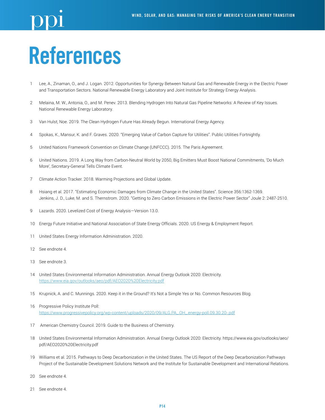# References

- Lee, A., Zinaman, O., and J. Logan. 2012. Opportunities for Synergy Between Natural Gas and Renewable Energy in the Electric Power and Transportation Sectors. National Renewable Energy Laboratory and Joint Institute for Strategy Energy Analysis.
- Melaina, M. W., Antonia, O., and M. Penev. 2013. Blending Hydrogen Into Natural Gas Pipeline Networks: A Review of Key Issues. National Renewable Energy Laboratory.
- Van Hulst, Noe. 2019. The Clean Hydrogen Future Has Already Begun. International Energy Agency.
- Spokas, K., Mansur, K. and F. Graves. 2020. "Emerging Value of Carbon Capture for Utilities". Public Utilities Fortnightly.
- United Nations Framework Convention on Climate Change (UNFCCC). 2015. The Paris Agreement.
- United Nations. 2019. A Long Way from Carbon-Neutral World by 2050, Big Emitters Must Boost National Commitments, 'Do Much More', Secretary-General Tells Climate Event.
- Climate Action Tracker. 2018. Warming Projections and Global Update.
- Hsiang et al. 2017. "Estimating Economic Damages from Climate Change in the United States". Science 356:1362-1369. Jenkins, J. D., Luke, M. and S. Thernstrom. 2020. "Getting to Zero Carbon Emissions in the Electric Power Sector" Joule 2: 2487-2510.
- Lazards. 2020. Levelized Cost of Energy Analysis—Version 13.0.
- Energy Future Initiative and National Association of State Energy Officials. 2020. US Energy & Employment Report.
- United States Energy Information Administration. 2020.
- See endnote 4.
- See endnote 3.
- United States Environmental Information Administration. Annual Energy Outlook 2020: Electricity. <https://www.eia.gov/outlooks/aeo/pdf/AEO2020%20Electricity.pdf>
- Krupnick, A. and C. Munnings. 2020. Keep it in the Ground? It's Not a Simple Yes or No. Common Resources Blog.
- Progressive Policy Institute Poll: [https://www.progressivepolicy.org/wp-content/uploads/2020/09/ALG.PA\\_.OH\\_.energy-poll.09.30.20-.pdf](https://www.progressivepolicy.org/wp-content/uploads/2020/09/ALG.PA_.OH_.energy-poll.09.30.20-.pdf)
- 17 American Chemistry Council. 2019. Guide to the Business of Chemistry.
- United States Environmental Information Administration. Annual Energy Outlook 2020: Electricity. https://www.eia.gov/outlooks/aeo/ pdf/AEO2020%20Electricity.pdf
- Williams et al. 2015. Pathways to Deep Decarbonization in the United States. The US Report of the Deep Decarbonization Pathways Project of the Sustainable Development Solutions Network and the Institute for Sustainable Development and International Relations.
- See endnote 4.
- See endnote 4.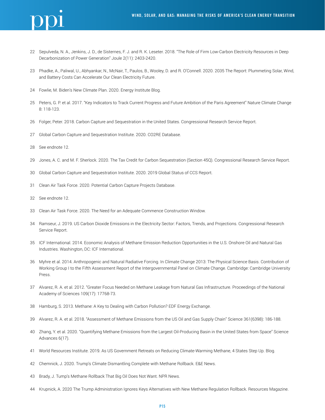

- Sepulveda, N. A., Jenkins, J. D., de Sisternes, F. J. and R. K. Leseter. 2018. "The Role of Firm Low-Carbon Electricity Resources in Deep Decarbonization of Power Generation" Joule 2(11): 2403-2420.
- Phadke, A., Paliwal, U., Abhyankar, N., McNair, T., Paulos, B., Wooley, D. and R. O'Connell. 2020. 2035 The Report: Plummeting Solar, Wind, and Battery Costs Can Accelerate Our Clean Electricity Future.
- Fowlie, M. Biden's New Climate Plan. 2020. Energy Institute Blog.
- Peters, G. P. et al. 2017. "Key Indicators to Track Current Progress and Future Ambition of the Paris Agreement" Nature Climate Change 8: 118-123.
- Folger, Peter. 2018. Carbon Capture and Sequestration in the United States. Congressional Research Service Report.
- Global Carbon Capture and Sequestration Institute. 2020. CO2RE Database.
- See endnote 12.
- Jones, A. C. and M. F. Sherlock. 2020. The Tax Credit for Carbon Sequestration (Section 45Q). Congressional Research Service Report.
- Global Carbon Capture and Sequestration Institute. 2020. 2019 Global Status of CCS Report.
- Clean Air Task Force. 2020. Potential Carbon Capture Projects Database.
- See endnote 12.
- Clean Air Task Force. 2020. The Need for an Adequate Commence Construction Window.
- Ramseur, J. 2019. US Carbon Dioxide Emissions in the Electricity Sector: Factors, Trends, and Projections. Congressional Research Service Report.
- ICF International. 2014. Economic Analysis of Methane Emission Reduction Opportunities in the U.S. Onshore Oil and Natural Gas Industries. Washington, DC: ICF International.
- Myhre et al. 2014. Anthropogenic and Natural Radiative Forcing. In Climate Change 2013: The Physical Science Basis. Contribution of Working Group I to the Fifth Assessment Report of the Intergovernmental Panel on Climate Change. Cambridge: Cambridge University Press.
- Alvarez, R. A. et al. 2012. "Greater Focus Needed on Methane Leakage from Natural Gas Infrastructure. Proceedings of the National Academy of Sciences 109(17): 17768-73.
- Hamburg, S. 2013. Methane: A Key to Dealing with Carbon Pollution? EDF Energy Exchange.
- Alvarez, R. A. et al. 2018. "Assessment of Methane Emissions from the US Oil and Gas Supply Chain" Science 361(6398): 186-188.
- Zhang, Y. et al. 2020. "Quantifying Methane Emissions from the Largest Oil-Producing Basin in the United States from Space" Science Advances 6(17).
- World Resources Institute. 2019. As US Government Retreats on Reducing Climate-Warming Methane, 4 States Step Up. Blog.
- Chemnick, J. 2020. Trump's Climate Dismantling Complete with Methane Rollback. E&E News.
- Brady, J. Tump's Methane Rollback That Big Oil Does Not Want. NPR News.
- Krupnick, A. 2020 The Trump Administration Ignores Keys Alternatives with New Methane Regulation Rollback. Resources Magazine.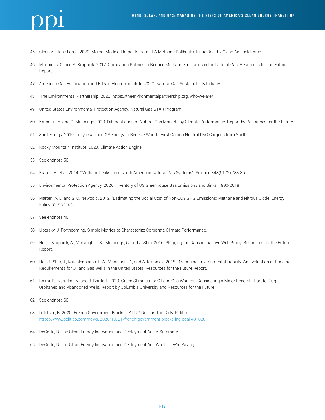

- Clean Air Task Force. 2020. Memo: Modeled Impacts from EPA Methane Rollbacks. Issue Brief by Clean Air Task Force.
- Munnings, C. and A. Krupnick. 2017. Comparing Policies to Reduce Methane Emissions in the Natural Gas. Resources for the Future Report.
- American Gas Association and Edison Electric Institute. 2020. Natural Gas Sustainability Initiative.
- 48 The Environmental Partnership. 2020. https://theenvironmentalpartnership.org/who-we-are/
- United States Environmental Protection Agency. Natural Gas STAR Program.
- Krupnick, A. and C. Munnings 2020. Differentiation of Natural Gas Markets by Climate Performance. Report by Resources for the Future.
- Shell Energy. 2019. Tokyo Gas and GS Energy to Receive World's First Carbon Neutral LNG Cargoes from Shell.
- Rocky Mountain Institute. 2020. Climate Action Engine.
- See endnote 50.
- Brandt. A. et al. 2014. "Methane Leaks from North American Natural Gas Systems". Science 343(6172):733-35.
- Environmental Protection Agency. 2020. Inventory of US Greenhouse Gas Emissions and Sinks: 1990-2018.
- Marten, A. L. and S. C. Newbold. 2012. "Estimating the Social Cost of Non-CO2 GHG Emissions: Methane and Nitrous Oxide. Energy Policy 51: 957-972.
- See endnote 46.
- Libersky, J. Forthcoming. Simple Metrics to Characterize Corporate Climate Performance.
- Ho, J., Krupnick, A., McLaughlin, K., Munnings, C. and J. Shih. 2016. Plugging the Gaps in Inactive Well Policy. Resources for the Future Report.
- Ho., J., Shih, J., Muehlenbachs, L. A., Munnings, C., and A. Krupnick. 2018. "Managing Environmental Liability: An Evaluation of Bonding Requirements for Oil and Gas Wells in the United States. Resources for the Future Report.
- Raimi, D., Nerurkar, N. and J. Bordoff. 2020. Green Stimulus for Oil and Gas Workers: Considering a Major Federal Effort to Plug Orphaned and Abandoned Wells. Report by Columbia University and Resources for the Future.
- See endnote 60.
- Lefebvre, B. 2020. French Government Blocks US LNG Deal as Too Dirty. Politico. <https://www.politico.com/news/2020/10/21/french-government-blocks-lng-deal-431028>
- DeGette, D. The Clean Energy Innovation and Deployment Act: A Summary.
- DeGette, D. The Clean Energy Innovation and Deployment Act: What They're Saying.